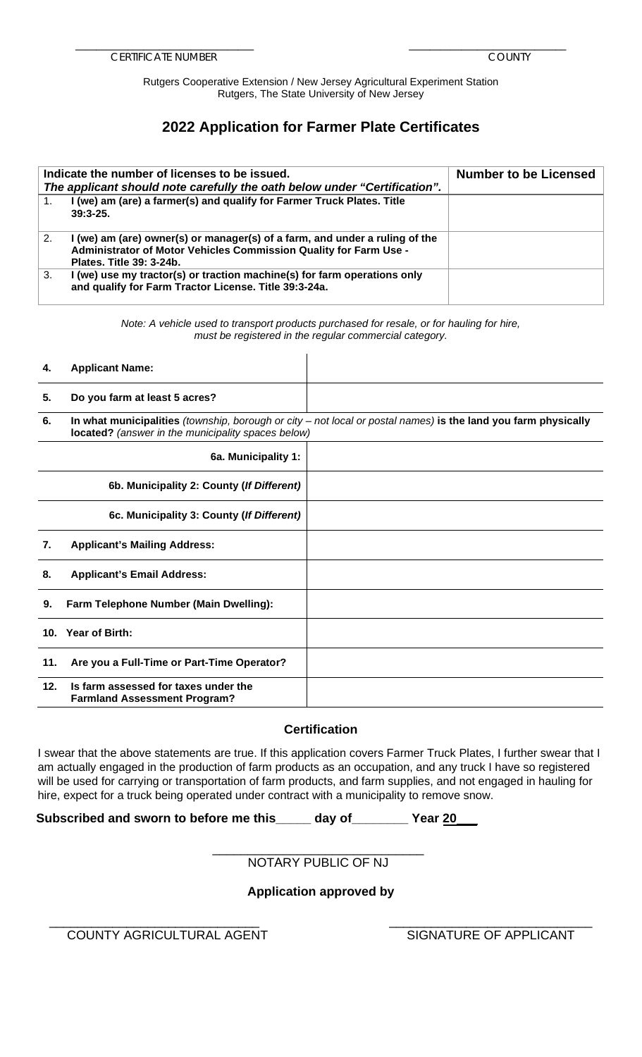Rutgers Cooperative Extension / New Jersey Agricultural Experiment Station Rutgers, The State University of New Jersey

## **2022 Application for Farmer Plate Certificates**

|    | Indicate the number of licenses to be issued.<br>The applicant should note carefully the oath below under "Certification".                                                   | <b>Number to be Licensed</b> |
|----|------------------------------------------------------------------------------------------------------------------------------------------------------------------------------|------------------------------|
|    | I (we) am (are) a farmer(s) and qualify for Farmer Truck Plates. Title<br>$39:3-25.$                                                                                         |                              |
| 2. | I (we) am (are) owner(s) or manager(s) of a farm, and under a ruling of the<br>Administrator of Motor Vehicles Commission Quality for Farm Use -<br>Plates. Title 39: 3-24b. |                              |
| 3. | I (we) use my tractor(s) or traction machine(s) for farm operations only<br>and qualify for Farm Tractor License. Title 39:3-24a.                                            |                              |

*Note: A vehicle used to transport products purchased for resale, or for hauling for hire, must be registered in the regular commercial category.* 

#### **4. Applicant Name:**

# **5. Do you farm at least 5 acres?**

**6. In what municipalities** *(township, borough or city – not local or postal names)* **is the land you farm physically located?** *(answer in the municipality spaces below)*

|     | 6a. Municipality 1:                                                         |  |
|-----|-----------------------------------------------------------------------------|--|
|     | 6b. Municipality 2: County (If Different)                                   |  |
|     | 6c. Municipality 3: County (If Different)                                   |  |
| 7.  | <b>Applicant's Mailing Address:</b>                                         |  |
| 8.  | <b>Applicant's Email Address:</b>                                           |  |
| 9.  | Farm Telephone Number (Main Dwelling):                                      |  |
|     | 10. Year of Birth:                                                          |  |
| 11. | Are you a Full-Time or Part-Time Operator?                                  |  |
| 12. | Is farm assessed for taxes under the<br><b>Farmland Assessment Program?</b> |  |

## **Certification**

 I swear that the above statements are true. If this application covers Farmer Truck Plates, I further swear that I will be used for carrying or transportation of farm products, and farm supplies, and not engaged in hauling for am actually engaged in the production of farm products as an occupation, and any truck I have so registered hire, expect for a truck being operated under contract with a municipality to remove snow.

**Subscribed and sworn to before me this\_\_\_\_\_ day of\_\_\_\_\_\_\_\_ Year 20\_\_\_**

#### \_\_\_\_\_\_\_\_\_\_\_\_\_\_\_\_\_\_\_\_\_\_\_\_\_\_\_\_\_\_ NOTARY PUBLIC OF NJ

## **Application approved by**

\_\_\_\_\_\_\_\_\_\_\_\_\_\_\_\_\_\_\_\_\_\_\_\_\_\_\_\_\_\_ \_\_\_\_\_\_\_\_\_\_\_\_\_\_\_\_\_\_\_\_\_\_\_\_\_\_\_\_\_ COUNTY AGRICULTURAL AGENT SIGNATURE OF APPLICANT